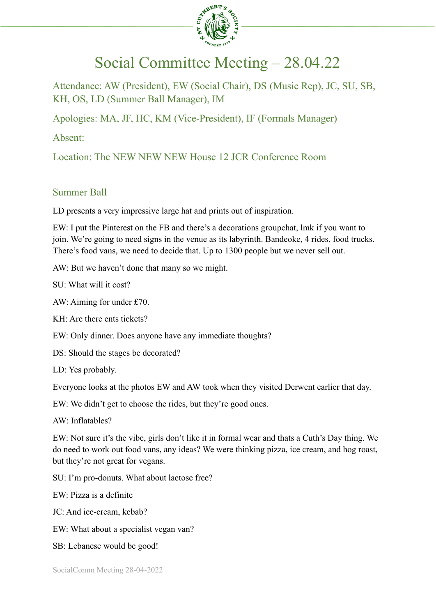

# Social Committee Meeting – 28.04.22

Attendance: AW (President), EW (Social Chair), DS (Music Rep), JC, SU, SB, KH, OS, LD (Summer Ball Manager), IM

Apologies: MA, JF, HC, KM (Vice-President), IF (Formals Manager)

Absent:

Location: The NEW NEW NEW House 12 JCR Conference Room

## Summer Ball

LD presents a very impressive large hat and prints out of inspiration.

EW: I put the Pinterest on the FB and there's a decorations groupchat, lmk if you want to join. We're going to need signs in the venue as its labyrinth. Bandeoke, 4 rides, food trucks. There's food vans, we need to decide that. Up to 1300 people but we never sell out.

AW: But we haven't done that many so we might.

SU: What will it cost?

AW: Aiming for under £70.

KH: Are there ents tickets?

EW: Only dinner. Does anyone have any immediate thoughts?

DS: Should the stages be decorated?

LD: Yes probably.

Everyone looks at the photos EW and AW took when they visited Derwent earlier that day.

EW: We didn't get to choose the rides, but they're good ones.

AW: Inflatables?

EW: Not sure it's the vibe, girls don't like it in formal wear and thats a Cuth's Day thing. We do need to work out food vans, any ideas? We were thinking pizza, ice cream, and hog roast, but they're not great for vegans.

SU: I'm pro-donuts. What about lactose free?

EW: Pizza is a definite

JC: And ice-cream, kebab?

EW: What about a specialist vegan van?

SB: Lebanese would be good!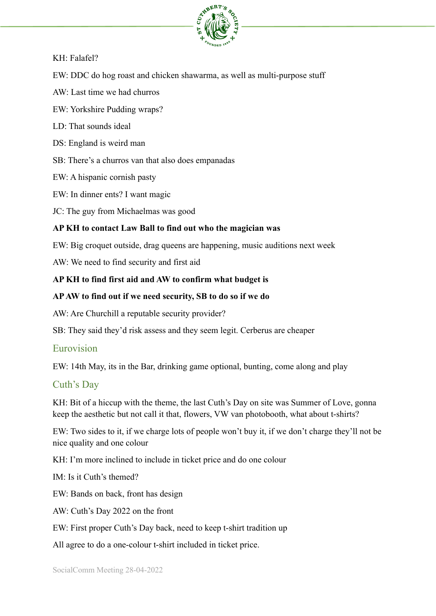

#### KH: Falafel?

EW: DDC do hog roast and chicken shawarma, as well as multi-purpose stuff

AW: Last time we had churros

EW: Yorkshire Pudding wraps?

LD: That sounds ideal

DS: England is weird man

SB: There's a churros van that also does empanadas

EW: A hispanic cornish pasty

EW: In dinner ents? I want magic

JC: The guy from Michaelmas was good

## **AP KH to contact Law Ball to find out who the magician was**

EW: Big croquet outside, drag queens are happening, music auditions next week

AW: We need to find security and first aid

## **AP KH to find first aid and AW to confirm what budget is**

## **APAW to find out if we need security, SB to do so if we do**

AW: Are Churchill a reputable security provider?

SB: They said they'd risk assess and they seem legit. Cerberus are cheaper

## Eurovision

EW: 14th May, its in the Bar, drinking game optional, bunting, come along and play

## Cuth's Day

KH: Bit of a hiccup with the theme, the last Cuth's Day on site was Summer of Love, gonna keep the aesthetic but not call it that, flowers, VW van photobooth, what about t-shirts?

EW: Two sides to it, if we charge lots of people won't buy it, if we don't charge they'll not be nice quality and one colour

KH: I'm more inclined to include in ticket price and do one colour

IM: Is it Cuth's themed?

EW: Bands on back, front has design

AW: Cuth's Day 2022 on the front

EW: First proper Cuth's Day back, need to keep t-shirt tradition up

All agree to do a one-colour t-shirt included in ticket price.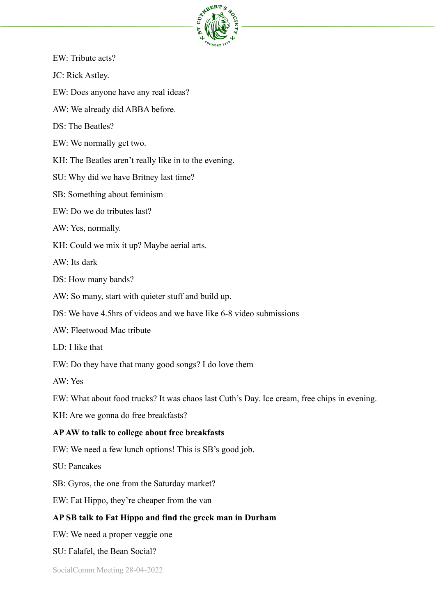

- EW: Tribute acts?
- JC: Rick Astley.
- EW: Does anyone have any real ideas?
- AW: We already did ABBA before.
- DS: The Beatles?
- EW: We normally get two.
- KH: The Beatles aren't really like in to the evening.
- SU: Why did we have Britney last time?
- SB: Something about feminism
- EW: Do we do tributes last?
- AW: Yes, normally.
- KH: Could we mix it up? Maybe aerial arts.
- AW: Its dark
- DS: How many bands?
- AW: So many, start with quieter stuff and build up.
- DS: We have 4.5hrs of videos and we have like 6-8 video submissions
- AW: Fleetwood Mac tribute
- LD: I like that
- EW: Do they have that many good songs? I do love them
- AW: Yes
- EW: What about food trucks? It was chaos last Cuth's Day. Ice cream, free chips in evening.
- KH: Are we gonna do free breakfasts?

#### **APAW to talk to college about free breakfasts**

- EW: We need a few lunch options! This is SB's good job.
- SU: Pancakes
- SB: Gyros, the one from the Saturday market?
- EW: Fat Hippo, they're cheaper from the van

#### **AP SB talk to Fat Hippo and find the greek man in Durham**

- EW: We need a proper veggie one
- SU: Falafel, the Bean Social?